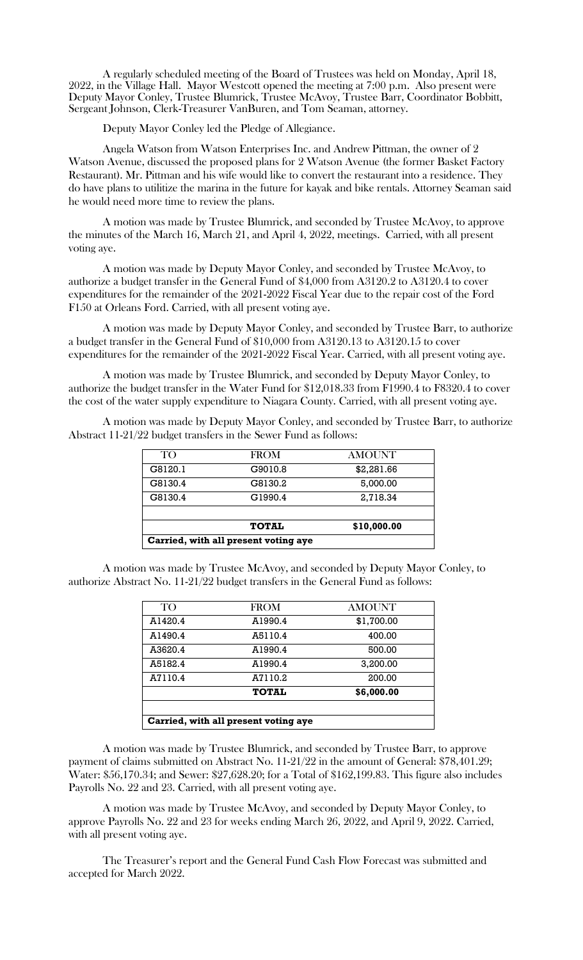A regularly scheduled meeting of the Board of Trustees was held on Monday, April 18, 2022, in the Village Hall. Mayor Westcott opened the meeting at 7:00 p.m. Also present were Deputy Mayor Conley, Trustee Blumrick, Trustee McAvoy, Trustee Barr, Coordinator Bobbitt, Sergeant Johnson, Clerk-Treasurer VanBuren, and Tom Seaman, attorney.

Deputy Mayor Conley led the Pledge of Allegiance.

Angela Watson from Watson Enterprises Inc. and Andrew Pittman, the owner of 2 Watson Avenue, discussed the proposed plans for 2 Watson Avenue (the former Basket Factory Restaurant). Mr. Pittman and his wife would like to convert the restaurant into a residence. They do have plans to utilitize the marina in the future for kayak and bike rentals. Attorney Seaman said he would need more time to review the plans.

A motion was made by Trustee Blumrick, and seconded by Trustee McAvoy, to approve the minutes of the March 16, March 21, and April 4, 2022, meetings. Carried, with all present voting aye.

A motion was made by Deputy Mayor Conley, and seconded by Trustee McAvoy, to authorize a budget transfer in the General Fund of \$4,000 from A3120.2 to A3120.4 to cover expenditures for the remainder of the 2021-2022 Fiscal Year due to the repair cost of the Ford F150 at Orleans Ford. Carried, with all present voting aye.

A motion was made by Deputy Mayor Conley, and seconded by Trustee Barr, to authorize a budget transfer in the General Fund of \$10,000 from A3120.13 to A3120.15 to cover expenditures for the remainder of the 2021-2022 Fiscal Year. Carried, with all present voting aye.

A motion was made by Trustee Blumrick, and seconded by Deputy Mayor Conley, to authorize the budget transfer in the Water Fund for \$12,018.33 from F1990.4 to F8320.4 to cover the cost of the water supply expenditure to Niagara County. Carried, with all present voting aye.

A motion was made by Deputy Mayor Conley, and seconded by Trustee Barr, to authorize Abstract 11-21/22 budget transfers in the Sewer Fund as follows:

| TO <sub>1</sub>                      | <b>FROM</b>  | AMOUNT      |  |
|--------------------------------------|--------------|-------------|--|
| G8120.1                              | G9010.8      | \$2,281.66  |  |
| G8130.4                              | G8130.2      | 5,000.00    |  |
| G8130.4                              | G1990.4      | 2,718.34    |  |
|                                      |              |             |  |
|                                      | <b>TOTAL</b> | \$10,000.00 |  |
| Carried, with all present voting aye |              |             |  |

A motion was made by Trustee McAvoy, and seconded by Deputy Mayor Conley, to authorize Abstract No. 11-21/22 budget transfers in the General Fund as follows:

| <b>TO</b>                            | <b>FROM</b>  | <b>AMOUNT</b> |  |
|--------------------------------------|--------------|---------------|--|
| A1420.4                              | A1990.4      | \$1,700.00    |  |
| A1490.4                              | A5110.4      | 400.00        |  |
| A3620.4                              | A1990.4      | 500.00        |  |
| A5182.4                              | A1990.4      | 3,200.00      |  |
| A7110.4                              | A7110.2      | 200.00        |  |
|                                      | <b>TOTAL</b> | \$6,000.00    |  |
|                                      |              |               |  |
| Carried, with all present voting aye |              |               |  |

A motion was made by Trustee Blumrick, and seconded by Trustee Barr, to approve payment of claims submitted on Abstract No. 11-21/22 in the amount of General: \$78,401.29; Water: \$56,170.34; and Sewer: \$27,628.20; for a Total of \$162,199.83. This figure also includes Payrolls No. 22 and 23. Carried, with all present voting aye.

A motion was made by Trustee McAvoy, and seconded by Deputy Mayor Conley, to approve Payrolls No. 22 and 23 for weeks ending March 26, 2022, and April 9, 2022. Carried, with all present voting aye.

The Treasurer's report and the General Fund Cash Flow Forecast was submitted and accepted for March 2022.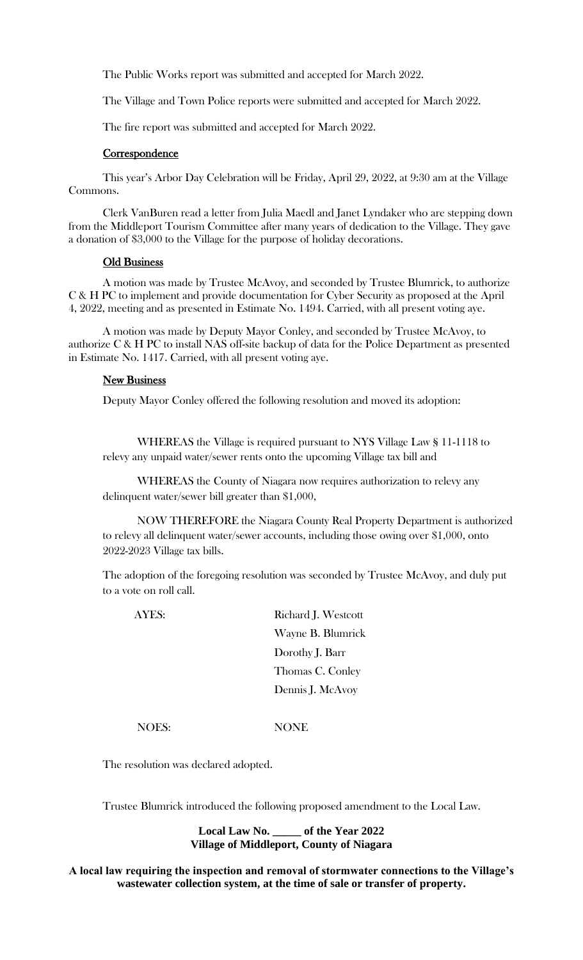The Public Works report was submitted and accepted for March 2022.

The Village and Town Police reports were submitted and accepted for March 2022.

The fire report was submitted and accepted for March 2022.

## **Correspondence**

This year's Arbor Day Celebration will be Friday, April 29, 2022, at 9:30 am at the Village Commons.

Clerk VanBuren read a letter from Julia Maedl and Janet Lyndaker who are stepping down from the Middleport Tourism Committee after many years of dedication to the Village. They gave a donation of \$3,000 to the Village for the purpose of holiday decorations.

## Old Business

A motion was made by Trustee McAvoy, and seconded by Trustee Blumrick, to authorize C & H PC to implement and provide documentation for Cyber Security as proposed at the April 4, 2022, meeting and as presented in Estimate No. 1494. Carried, with all present voting aye.

A motion was made by Deputy Mayor Conley, and seconded by Trustee McAvoy, to authorize C & H PC to install NAS off-site backup of data for the Police Department as presented in Estimate No. 1417. Carried, with all present voting aye.

## New Business

Deputy Mayor Conley offered the following resolution and moved its adoption:

WHEREAS the Village is required pursuant to NYS Village Law § 11-1118 to relevy any unpaid water/sewer rents onto the upcoming Village tax bill and

WHEREAS the County of Niagara now requires authorization to relevy any delinquent water/sewer bill greater than \$1,000,

NOW THEREFORE the Niagara County Real Property Department is authorized to relevy all delinquent water/sewer accounts, including those owing over \$1,000, onto 2022-2023 Village tax bills.

The adoption of the foregoing resolution was seconded by Trustee McAvoy, and duly put to a vote on roll call.

AYES: Richard J. Westcott Wayne B. Blumrick Dorothy J. Barr Thomas C. Conley Dennis J. McAvoy

NOES: NONE

The resolution was declared adopted.

Trustee Blumrick introduced the following proposed amendment to the Local Law.

**Local Law No. \_\_\_\_\_ of the Year 2022 Village of Middleport, County of Niagara**

**A local law requiring the inspection and removal of stormwater connections to the Village's wastewater collection system, at the time of sale or transfer of property.**